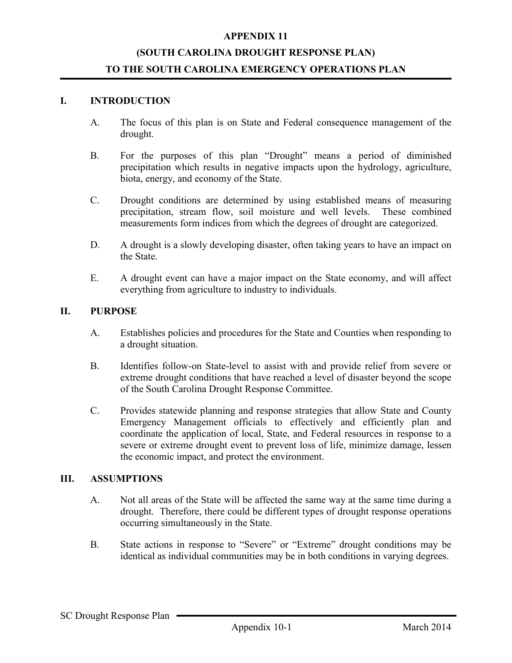#### APPENDIX 11

## (SOUTH CAROLINA DROUGHT RESPONSE PLAN) TO THE SOUTH CAROLINA EMERGENCY OPERATIONS PLAN

#### I. INTRODUCTION

- A. The focus of this plan is on State and Federal consequence management of the drought.
- B. For the purposes of this plan "Drought" means a period of diminished precipitation which results in negative impacts upon the hydrology, agriculture, biota, energy, and economy of the State.
- C. Drought conditions are determined by using established means of measuring precipitation, stream flow, soil moisture and well levels. These combined measurements form indices from which the degrees of drought are categorized.
- D. A drought is a slowly developing disaster, often taking years to have an impact on the State.
- E. A drought event can have a major impact on the State economy, and will affect everything from agriculture to industry to individuals.

#### II. PURPOSE

- A. Establishes policies and procedures for the State and Counties when responding to a drought situation.
- B. Identifies follow-on State-level to assist with and provide relief from severe or extreme drought conditions that have reached a level of disaster beyond the scope of the South Carolina Drought Response Committee.
- C. Provides statewide planning and response strategies that allow State and County Emergency Management officials to effectively and efficiently plan and coordinate the application of local, State, and Federal resources in response to a severe or extreme drought event to prevent loss of life, minimize damage, lessen the economic impact, and protect the environment.

#### III. ASSUMPTIONS

- A. Not all areas of the State will be affected the same way at the same time during a drought. Therefore, there could be different types of drought response operations occurring simultaneously in the State.
- B. State actions in response to "Severe" or "Extreme" drought conditions may be identical as individual communities may be in both conditions in varying degrees.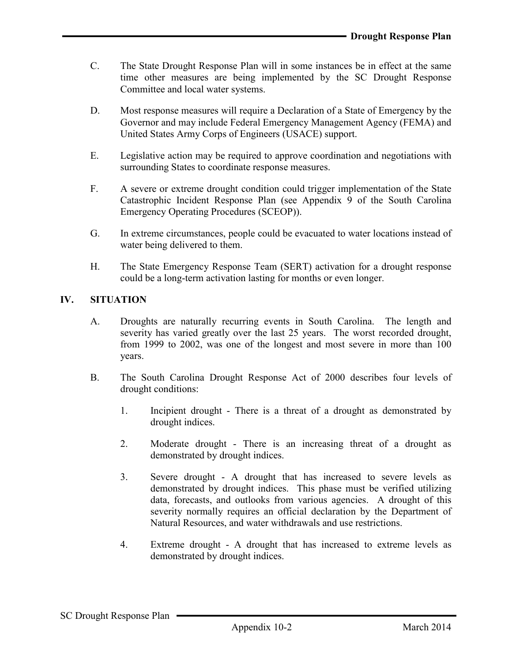- C. The State Drought Response Plan will in some instances be in effect at the same time other measures are being implemented by the SC Drought Response Committee and local water systems.
- D. Most response measures will require a Declaration of a State of Emergency by the Governor and may include Federal Emergency Management Agency (FEMA) and United States Army Corps of Engineers (USACE) support.
- E. Legislative action may be required to approve coordination and negotiations with surrounding States to coordinate response measures.
- F. A severe or extreme drought condition could trigger implementation of the State Catastrophic Incident Response Plan (see Appendix 9 of the South Carolina Emergency Operating Procedures (SCEOP)).
- G. In extreme circumstances, people could be evacuated to water locations instead of water being delivered to them.
- H. The State Emergency Response Team (SERT) activation for a drought response could be a long-term activation lasting for months or even longer.

## IV. SITUATION

- A. Droughts are naturally recurring events in South Carolina. The length and severity has varied greatly over the last 25 years. The worst recorded drought, from 1999 to 2002, was one of the longest and most severe in more than 100 years.
- B. The South Carolina Drought Response Act of 2000 describes four levels of drought conditions:
	- 1. Incipient drought There is a threat of a drought as demonstrated by drought indices.
	- 2. Moderate drought There is an increasing threat of a drought as demonstrated by drought indices.
	- 3. Severe drought A drought that has increased to severe levels as demonstrated by drought indices. This phase must be verified utilizing data, forecasts, and outlooks from various agencies. A drought of this severity normally requires an official declaration by the Department of Natural Resources, and water withdrawals and use restrictions.
	- 4. Extreme drought A drought that has increased to extreme levels as demonstrated by drought indices.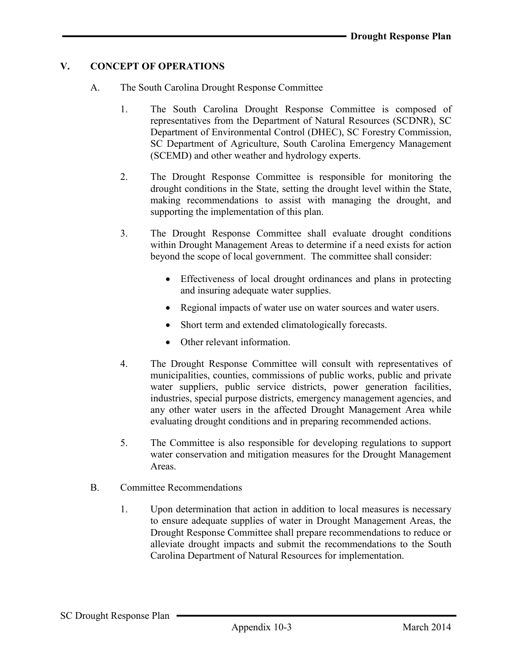## V. CONCEPT OF OPERATIONS

- A. The South Carolina Drought Response Committee
	- 1. The South Carolina Drought Response Committee is composed of representatives from the Department of Natural Resources (SCDNR), SC Department of Environmental Control (DHEC), SC Forestry Commission, SC Department of Agriculture, South Carolina Emergency Management (SCEMD) and other weather and hydrology experts.
	- 2. The Drought Response Committee is responsible for monitoring the drought conditions in the State, setting the drought level within the State, making recommendations to assist with managing the drought, and supporting the implementation of this plan.
	- 3. The Drought Response Committee shall evaluate drought conditions within Drought Management Areas to determine if a need exists for action beyond the scope of local government. The committee shall consider:
		- Effectiveness of local drought ordinances and plans in protecting and insuring adequate water supplies.
		- Regional impacts of water use on water sources and water users.
		- Short term and extended climatologically forecasts.
		- Other relevant information.
	- 4. The Drought Response Committee will consult with representatives of municipalities, counties, commissions of public works, public and private water suppliers, public service districts, power generation facilities, industries, special purpose districts, emergency management agencies, and any other water users in the affected Drought Management Area while evaluating drought conditions and in preparing recommended actions.
	- 5. The Committee is also responsible for developing regulations to support water conservation and mitigation measures for the Drought Management Areas.
- B. Committee Recommendations
	- 1. Upon determination that action in addition to local measures is necessary to ensure adequate supplies of water in Drought Management Areas, the Drought Response Committee shall prepare recommendations to reduce or alleviate drought impacts and submit the recommendations to the South Carolina Department of Natural Resources for implementation.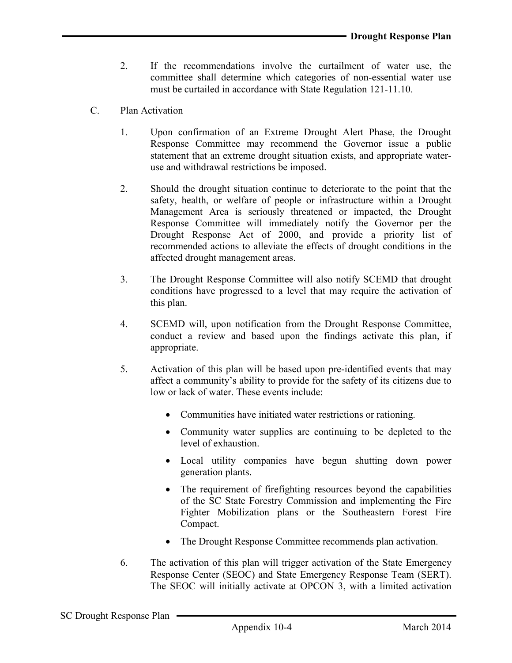- 2. If the recommendations involve the curtailment of water use, the committee shall determine which categories of non-essential water use must be curtailed in accordance with State Regulation 121-11.10.
- C. Plan Activation
	- 1. Upon confirmation of an Extreme Drought Alert Phase, the Drought Response Committee may recommend the Governor issue a public statement that an extreme drought situation exists, and appropriate wateruse and withdrawal restrictions be imposed.
	- 2. Should the drought situation continue to deteriorate to the point that the safety, health, or welfare of people or infrastructure within a Drought Management Area is seriously threatened or impacted, the Drought Response Committee will immediately notify the Governor per the Drought Response Act of 2000, and provide a priority list of recommended actions to alleviate the effects of drought conditions in the affected drought management areas.
	- 3. The Drought Response Committee will also notify SCEMD that drought conditions have progressed to a level that may require the activation of this plan.
	- 4. SCEMD will, upon notification from the Drought Response Committee, conduct a review and based upon the findings activate this plan, if appropriate.
	- 5. Activation of this plan will be based upon pre-identified events that may affect a community's ability to provide for the safety of its citizens due to low or lack of water. These events include:
		- Communities have initiated water restrictions or rationing.
		- Community water supplies are continuing to be depleted to the level of exhaustion.
		- Local utility companies have begun shutting down power generation plants.
		- The requirement of firefighting resources beyond the capabilities of the SC State Forestry Commission and implementing the Fire Fighter Mobilization plans or the Southeastern Forest Fire Compact.
		- The Drought Response Committee recommends plan activation.
	- 6. The activation of this plan will trigger activation of the State Emergency Response Center (SEOC) and State Emergency Response Team (SERT). The SEOC will initially activate at OPCON 3, with a limited activation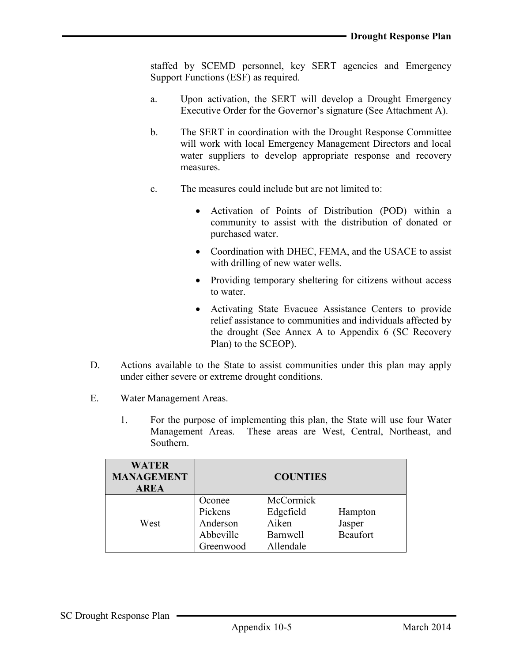staffed by SCEMD personnel, key SERT agencies and Emergency Support Functions (ESF) as required.

- a. Upon activation, the SERT will develop a Drought Emergency Executive Order for the Governor's signature (See Attachment A).
- b. The SERT in coordination with the Drought Response Committee will work with local Emergency Management Directors and local water suppliers to develop appropriate response and recovery measures.
- c. The measures could include but are not limited to:
	- Activation of Points of Distribution (POD) within a community to assist with the distribution of donated or purchased water.
	- Coordination with DHEC, FEMA, and the USACE to assist with drilling of new water wells.
	- Providing temporary sheltering for citizens without access to water.
	- Activating State Evacuee Assistance Centers to provide relief assistance to communities and individuals affected by the drought (See Annex A to Appendix 6 (SC Recovery Plan) to the SCEOP).
- D. Actions available to the State to assist communities under this plan may apply under either severe or extreme drought conditions.
- E. Water Management Areas.
	- 1. For the purpose of implementing this plan, the State will use four Water Management Areas. These areas are West, Central, Northeast, and Southern.

| <b>WATER</b><br><b>MANAGEMENT</b><br><b>AREA</b> |                                                         | <b>COUNTIES</b>                                                 |                                      |
|--------------------------------------------------|---------------------------------------------------------|-----------------------------------------------------------------|--------------------------------------|
| West                                             | Oconee<br>Pickens<br>Anderson<br>Abbeville<br>Greenwood | McCormick<br>Edgefield<br>Aiken<br><b>Barnwell</b><br>Allendale | Hampton<br>Jasper<br><b>Beaufort</b> |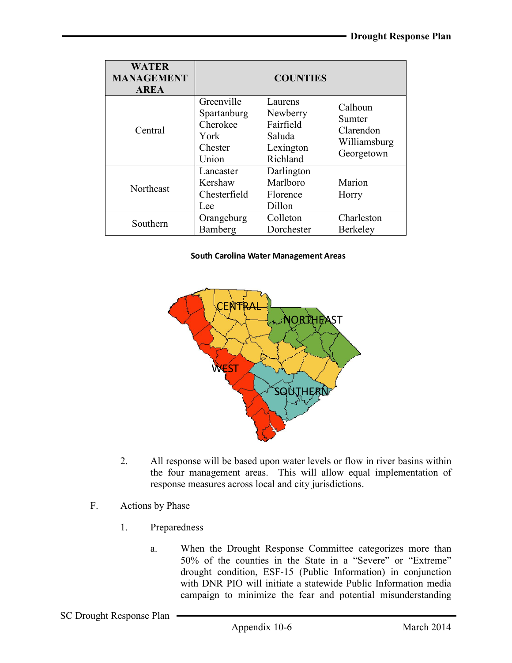| <b>WATER</b><br><b>MANAGEMENT</b><br><b>AREA</b> |                                                                   | <b>COUNTIES</b>                                                     |                                                              |
|--------------------------------------------------|-------------------------------------------------------------------|---------------------------------------------------------------------|--------------------------------------------------------------|
| Central                                          | Greenville<br>Spartanburg<br>Cherokee<br>York<br>Chester<br>Union | Laurens<br>Newberry<br>Fairfield<br>Saluda<br>Lexington<br>Richland | Calhoun<br>Sumter<br>Clarendon<br>Williamsburg<br>Georgetown |
| Northeast                                        | Lancaster<br>Kershaw<br>Chesterfield<br>Lee                       | Darlington<br>Marlboro<br>Florence<br>Dillon                        | Marion<br>Horry                                              |
| Southern                                         | Orangeburg<br>Bamberg                                             | Colleton<br>Dorchester                                              | Charleston<br><b>Berkeley</b>                                |

#### South Carolina Water Management Areas



- 2. All response will be based upon water levels or flow in river basins within the four management areas. This will allow equal implementation of response measures across local and city jurisdictions.
- F. Actions by Phase
	- 1. Preparedness
		- a. When the Drought Response Committee categorizes more than 50% of the counties in the State in a "Severe" or "Extreme" drought condition, ESF-15 (Public Information) in conjunction with DNR PIO will initiate a statewide Public Information media campaign to minimize the fear and potential misunderstanding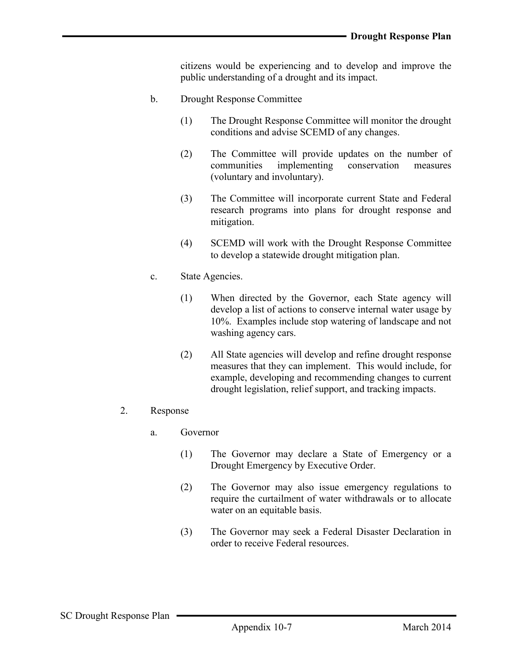citizens would be experiencing and to develop and improve the public understanding of a drought and its impact.

- b. Drought Response Committee
	- (1) The Drought Response Committee will monitor the drought conditions and advise SCEMD of any changes.
	- (2) The Committee will provide updates on the number of communities implementing conservation measures (voluntary and involuntary).
	- (3) The Committee will incorporate current State and Federal research programs into plans for drought response and mitigation.
	- (4) SCEMD will work with the Drought Response Committee to develop a statewide drought mitigation plan.
- c. State Agencies.
	- (1) When directed by the Governor, each State agency will develop a list of actions to conserve internal water usage by 10%. Examples include stop watering of landscape and not washing agency cars.
	- (2) All State agencies will develop and refine drought response measures that they can implement. This would include, for example, developing and recommending changes to current drought legislation, relief support, and tracking impacts.
- 2. Response
	- a. Governor
		- (1) The Governor may declare a State of Emergency or a Drought Emergency by Executive Order.
		- (2) The Governor may also issue emergency regulations to require the curtailment of water withdrawals or to allocate water on an equitable basis.
		- (3) The Governor may seek a Federal Disaster Declaration in order to receive Federal resources.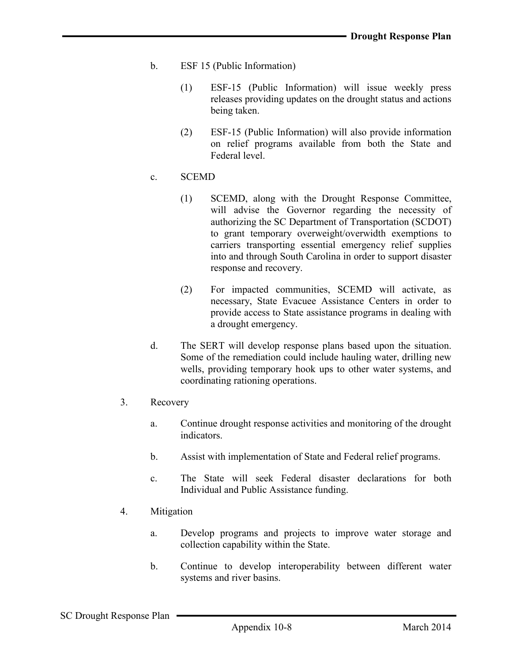- b. ESF 15 (Public Information)
	- (1) ESF-15 (Public Information) will issue weekly press releases providing updates on the drought status and actions being taken.
	- (2) ESF-15 (Public Information) will also provide information on relief programs available from both the State and Federal level.

#### c. SCEMD

- (1) SCEMD, along with the Drought Response Committee, will advise the Governor regarding the necessity of authorizing the SC Department of Transportation (SCDOT) to grant temporary overweight/overwidth exemptions to carriers transporting essential emergency relief supplies into and through South Carolina in order to support disaster response and recovery.
- (2) For impacted communities, SCEMD will activate, as necessary, State Evacuee Assistance Centers in order to provide access to State assistance programs in dealing with a drought emergency.
- d. The SERT will develop response plans based upon the situation. Some of the remediation could include hauling water, drilling new wells, providing temporary hook ups to other water systems, and coordinating rationing operations.
- 3. Recovery
	- a. Continue drought response activities and monitoring of the drought indicators.
	- b. Assist with implementation of State and Federal relief programs.
	- c. The State will seek Federal disaster declarations for both Individual and Public Assistance funding.
- 4. Mitigation
	- a. Develop programs and projects to improve water storage and collection capability within the State.
	- b. Continue to develop interoperability between different water systems and river basins.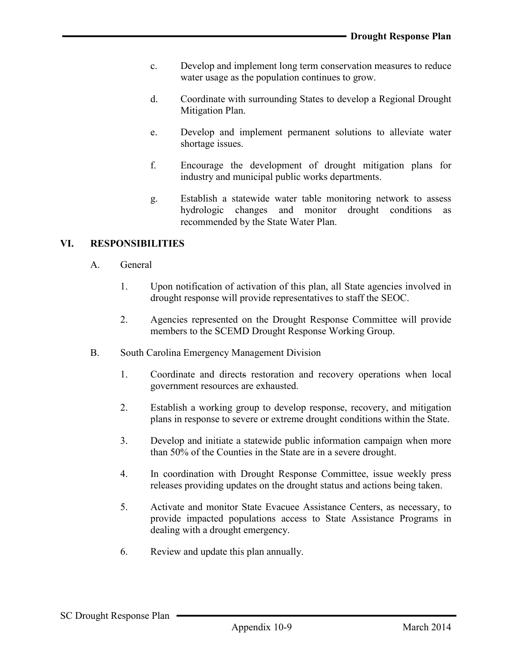- c. Develop and implement long term conservation measures to reduce water usage as the population continues to grow.
- d. Coordinate with surrounding States to develop a Regional Drought Mitigation Plan.
- e. Develop and implement permanent solutions to alleviate water shortage issues.
- f. Encourage the development of drought mitigation plans for industry and municipal public works departments.
- g. Establish a statewide water table monitoring network to assess hydrologic changes and monitor drought conditions as recommended by the State Water Plan.

## VI. RESPONSIBILITIES

- A. General
	- 1. Upon notification of activation of this plan, all State agencies involved in drought response will provide representatives to staff the SEOC.
	- 2. Agencies represented on the Drought Response Committee will provide members to the SCEMD Drought Response Working Group.
- B. South Carolina Emergency Management Division
	- 1. Coordinate and directs restoration and recovery operations when local government resources are exhausted.
	- 2. Establish a working group to develop response, recovery, and mitigation plans in response to severe or extreme drought conditions within the State.
	- 3. Develop and initiate a statewide public information campaign when more than 50% of the Counties in the State are in a severe drought.
	- 4. In coordination with Drought Response Committee, issue weekly press releases providing updates on the drought status and actions being taken.
	- 5. Activate and monitor State Evacuee Assistance Centers, as necessary, to provide impacted populations access to State Assistance Programs in dealing with a drought emergency.
	- 6. Review and update this plan annually.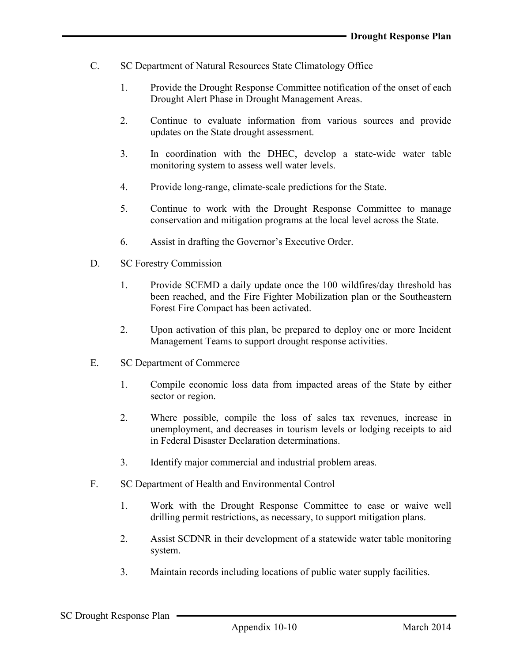- C. SC Department of Natural Resources State Climatology Office
	- 1. Provide the Drought Response Committee notification of the onset of each Drought Alert Phase in Drought Management Areas.
	- 2. Continue to evaluate information from various sources and provide updates on the State drought assessment.
	- 3. In coordination with the DHEC, develop a state-wide water table monitoring system to assess well water levels.
	- 4. Provide long-range, climate-scale predictions for the State.
	- 5. Continue to work with the Drought Response Committee to manage conservation and mitigation programs at the local level across the State.
	- 6. Assist in drafting the Governor's Executive Order.
- D. SC Forestry Commission
	- 1. Provide SCEMD a daily update once the 100 wildfires/day threshold has been reached, and the Fire Fighter Mobilization plan or the Southeastern Forest Fire Compact has been activated.
	- 2. Upon activation of this plan, be prepared to deploy one or more Incident Management Teams to support drought response activities.
- E. SC Department of Commerce
	- 1. Compile economic loss data from impacted areas of the State by either sector or region.
	- 2. Where possible, compile the loss of sales tax revenues, increase in unemployment, and decreases in tourism levels or lodging receipts to aid in Federal Disaster Declaration determinations.
	- 3. Identify major commercial and industrial problem areas.
- F. SC Department of Health and Environmental Control
	- 1. Work with the Drought Response Committee to ease or waive well drilling permit restrictions, as necessary, to support mitigation plans.
	- 2. Assist SCDNR in their development of a statewide water table monitoring system.
	- 3. Maintain records including locations of public water supply facilities.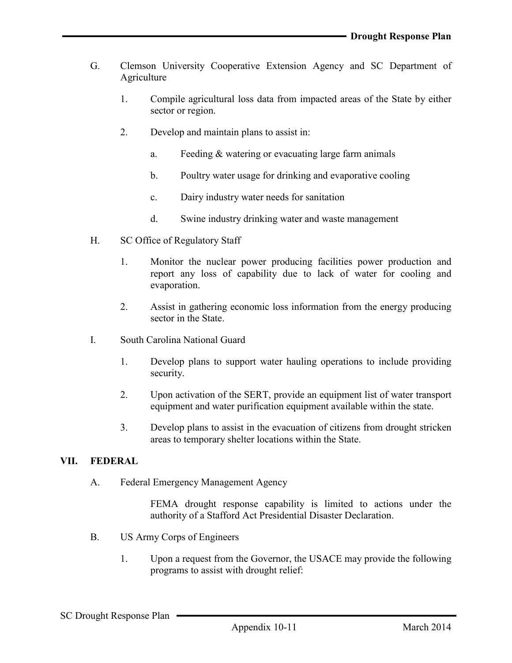- G. Clemson University Cooperative Extension Agency and SC Department of **Agriculture** 
	- 1. Compile agricultural loss data from impacted areas of the State by either sector or region.
	- 2. Develop and maintain plans to assist in:
		- a. Feeding & watering or evacuating large farm animals
		- b. Poultry water usage for drinking and evaporative cooling
		- c. Dairy industry water needs for sanitation
		- d. Swine industry drinking water and waste management
- H. SC Office of Regulatory Staff
	- 1. Monitor the nuclear power producing facilities power production and report any loss of capability due to lack of water for cooling and evaporation.
	- 2. Assist in gathering economic loss information from the energy producing sector in the State.
- I. South Carolina National Guard
	- 1. Develop plans to support water hauling operations to include providing security.
	- 2. Upon activation of the SERT, provide an equipment list of water transport equipment and water purification equipment available within the state.
	- 3. Develop plans to assist in the evacuation of citizens from drought stricken areas to temporary shelter locations within the State.

#### VII. FEDERAL

A. Federal Emergency Management Agency

FEMA drought response capability is limited to actions under the authority of a Stafford Act Presidential Disaster Declaration.

- B. US Army Corps of Engineers
	- 1. Upon a request from the Governor, the USACE may provide the following programs to assist with drought relief: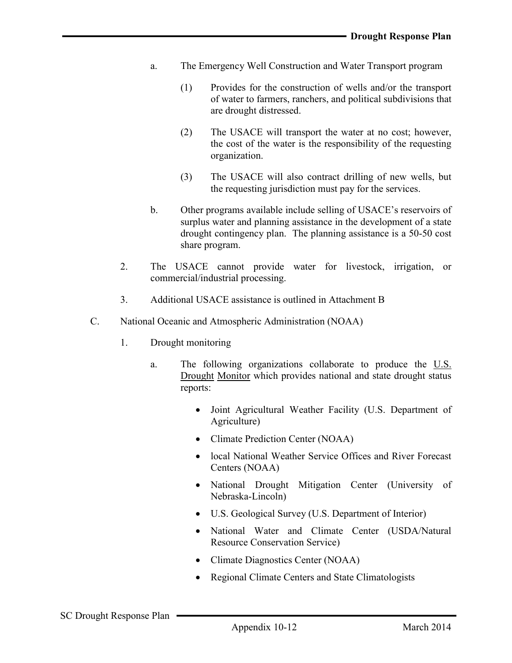- a. The Emergency Well Construction and Water Transport program
	- (1) Provides for the construction of wells and/or the transport of water to farmers, ranchers, and political subdivisions that are drought distressed.
	- (2) The USACE will transport the water at no cost; however, the cost of the water is the responsibility of the requesting organization.
	- (3) The USACE will also contract drilling of new wells, but the requesting jurisdiction must pay for the services.
- b. Other programs available include selling of USACE's reservoirs of surplus water and planning assistance in the development of a state drought contingency plan. The planning assistance is a 50-50 cost share program.
- 2. The USACE cannot provide water for livestock, irrigation, or commercial/industrial processing.
- 3. Additional USACE assistance is outlined in Attachment B
- C. National Oceanic and Atmospheric Administration (NOAA)
	- 1. Drought monitoring
		- a. The following organizations collaborate to produce the U.S. Drought Monitor which provides national and state drought status reports:
			- Joint Agricultural Weather Facility (U.S. Department of [Agriculture](http://www.usda.gov/))
			- [Climate Prediction Center](http://www.usda.gov/oce/weather/index.htm) (NOAA)
			- local National Weather Service Offices and River Forecast [Centers \(NOAA\)](http://www.cpc.ncep.noaa.gov/)
			- National Drought Mitigation Center (University of [Nebraska-Lincoln](http://www.unl.edu/))
			- [U.S. Geological Survey](http://www.drought.unl.edu/index.htm) (U.S. Department o[f Interior\)](http://www.unl.edu/)
			- National Water and Climate Center (USDA/Natural Resource [Conservation](http://www.nrcs.usda.gov/) [Service\)](http://www.doi.gov/)
			- Climate [Diagnostics](http://www.wcc.nrcs.usda.gov/) Center (NOAA)
			- [Regional](http://www.cdc.noaa.gov/) Climate Centers and [State](http://www.noaa.gov/) Climatologists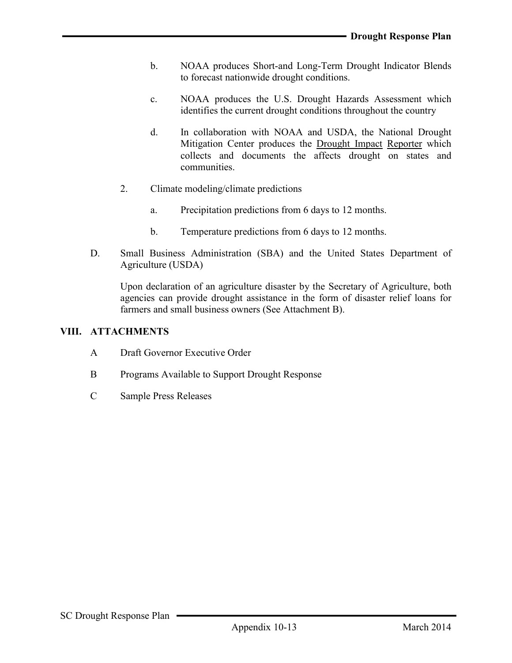- b. NOAA produces Short-and Long-Term Drought Indicator Blends to forecast nationwide drought conditions.
- c. NOAA produces the U.S. Drought Hazards Assessment which identifies the current drought conditions throughout the country
- d. In collaboration with NOAA and USDA, the National Drought Mitigation Center produces the Drought Impact Reporter which collects and documents the affects drought on states and communities.
- 2. Climate modeling/climate predictions
	- a. Precipitation predictions from 6 days to 12 months.
	- b. Temperature predictions from 6 days to 12 months.
- D. Small Business Administration (SBA) and the United States Department of Agriculture (USDA)

Upon declaration of an agriculture disaster by the Secretary of Agriculture, both agencies can provide drought assistance in the form of disaster relief loans for farmers and small business owners (See Attachment B).

#### VIII. ATTACHMENTS

- A Draft Governor Executive Order
- B Programs Available to Support Drought Response
- C Sample Press Releases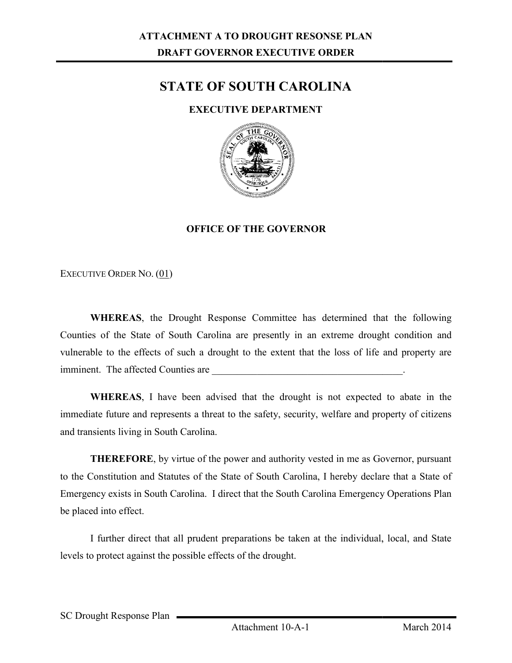# STATE OF SOUTH CAROLINA

## EXECUTIVE DEPARTMENT



## OFFICE OF THE GOVERNOR

EXECUTIVE ORDER NO. (01)

WHEREAS, the Drought Response Committee has determined that the following Counties of the State of South Carolina are presently in an extreme drought condition and vulnerable to the effects of such a drought to the extent that the loss of life and property are imminent. The affected Counties are ounties of the State of South Carolina are presently in an extreme drought condition<br>ulnerable to the effects of such a drought to the extent that the loss of life and propert<br>nminent. The affected Counties are  $\overline{\phantom{a}}$ 

WHEREAS, I have been advised that the drought is not expected to abate in the WHEREAS, I have been advised that the drought is not expected to abate in the immediate future and represents a threat to the safety, security, welfare and property of citizens and transients living in South Carolina.

**THEREFORE**, by virtue of the power and authority vested in me as Governor, pursuant to the Constitution and Statutes of the State of South Carolina, I hereby declare that a State of to the Constitution and Statutes of the State of South Carolina, I hereby declare that a State of<br>Emergency exists in South Carolina. I direct that the South Carolina Emergency Operations Plan be placed into effect.

I further direct that all prudent preparations be taken at the individual, local, and State levels to protect against the possible effects of the drought.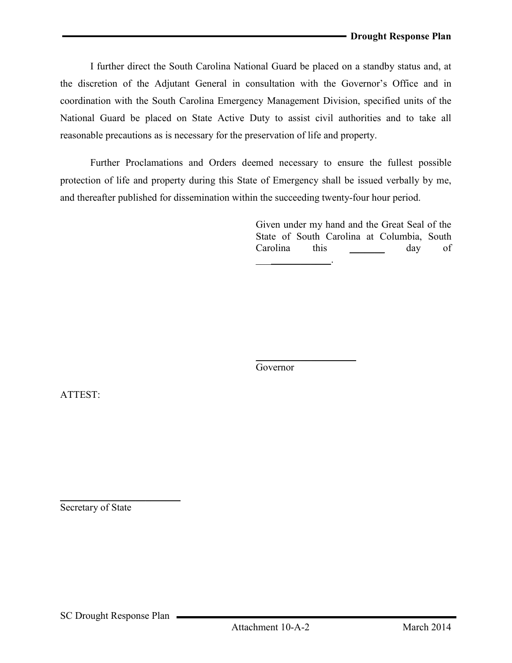I further direct the South Carolina National Guard be placed on a standby status and, at the discretion of the Adjutant General in consultation with the Governor's Office and in coordination with the South Carolina Emergency Management Division, specified units of the National Guard be placed on State Active Duty to assist civil authorities and to take all reasonable precautions as is necessary for the preservation of life and property.

Further Proclamations and Orders deemed necessary to ensure the fullest possible protection of life and property during this State of Emergency shall be issued verbally by me, and thereafter published for dissemination within the succeeding twenty-four hour period.

> Given under my hand and the Great Seal of the State of South Carolina at Columbia, South Carolina this day of  $\overline{\phantom{a}}$  . The same set of  $\overline{\phantom{a}}$  .

Governor

 $\mathcal{L}=\mathcal{L}^{\mathcal{L}}$  , where  $\mathcal{L}^{\mathcal{L}}$ 

ATTEST:

Secretary of State

 $\overline{\phantom{a}}$  , where  $\overline{\phantom{a}}$  , where  $\overline{\phantom{a}}$  , where  $\overline{\phantom{a}}$  , where  $\overline{\phantom{a}}$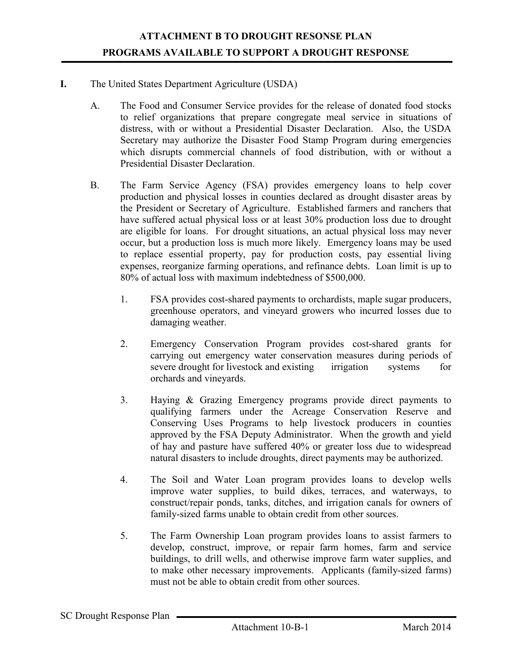#### I. The United States Department Agriculture (USDA)

- A. The Food and Consumer Service provides for the release of donated food stocks to relief organizations that prepare congregate meal service in situations of distress, with or without a Presidential Disaster Declaration. Also, the USDA Secretary may authorize the Disaster Food Stamp Program during emergencies which disrupts commercial channels of food distribution, with or without a Presidential Disaster Declaration.
- B. The Farm Service Agency (FSA) provides emergency loans to help cover production and physical losses in counties declared as drought disaster areas by the President or Secretary of Agriculture. Established farmers and ranchers that have suffered actual physical loss or at least 30% production loss due to drought are eligible for loans. For drought situations, an actual physical loss may never occur, but a production loss is much more likely. Emergency loans may be used to replace essential property, pay for production costs, pay essential living expenses, reorganize farming operations, and refinance debts. Loan limit is up to 80% of actual loss with maximum indebtedness of \$500,000.
	- 1. FSA provides cost-shared payments to orchardists, maple sugar producers, greenhouse operators, and vineyard growers who incurred losses due to damaging weather.
	- 2. Emergency Conservation Program provides cost-shared grants for carrying out emergency water conservation measures during periods of severe drought for livestock and existing irrigation systems for orchards and vineyards.
	- 3. Haying & Grazing Emergency programs provide direct payments to qualifying farmers under the Acreage Conservation Reserve and Conserving Uses Programs to help livestock producers in counties approved by the FSA Deputy Administrator. When the growth and yield of hay and pasture have suffered 40% or greater loss due to widespread natural disasters to include droughts, direct payments may be authorized.
	- 4. The Soil and Water Loan program provides loans to develop wells improve water supplies, to build dikes, terraces, and waterways, to construct/repair ponds, tanks, ditches, and irrigation canals for owners of family-sized farms unable to obtain credit from other sources.
	- 5. The Farm Ownership Loan program provides loans to assist farmers to develop, construct, improve, or repair farm homes, farm and service buildings, to drill wells, and otherwise improve farm water supplies, and to make other necessary improvements. Applicants (family-sized farms) must not be able to obtain credit from other sources.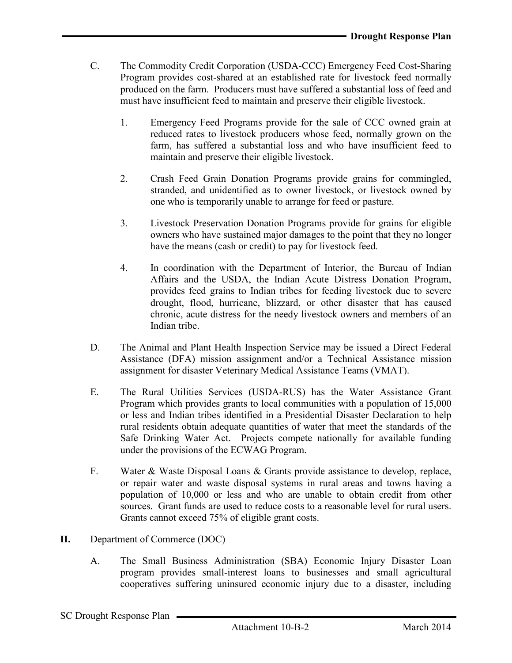- C. The Commodity Credit Corporation (USDA-CCC) Emergency Feed Cost-Sharing Program provides cost-shared at an established rate for livestock feed normally produced on the farm. Producers must have suffered a substantial loss of feed and must have insufficient feed to maintain and preserve their eligible livestock.
	- 1. Emergency Feed Programs provide for the sale of CCC owned grain at reduced rates to livestock producers whose feed, normally grown on the farm, has suffered a substantial loss and who have insufficient feed to maintain and preserve their eligible livestock.
	- 2. Crash Feed Grain Donation Programs provide grains for commingled, stranded, and unidentified as to owner livestock, or livestock owned by one who is temporarily unable to arrange for feed or pasture.
	- 3. Livestock Preservation Donation Programs provide for grains for eligible owners who have sustained major damages to the point that they no longer have the means (cash or credit) to pay for livestock feed.
	- 4. In coordination with the Department of Interior, the Bureau of Indian Affairs and the USDA, the Indian Acute Distress Donation Program, provides feed grains to Indian tribes for feeding livestock due to severe drought, flood, hurricane, blizzard, or other disaster that has caused chronic, acute distress for the needy livestock owners and members of an Indian tribe.
- D. The Animal and Plant Health Inspection Service may be issued a Direct Federal Assistance (DFA) mission assignment and/or a Technical Assistance mission assignment for disaster Veterinary Medical Assistance Teams (VMAT).
- E. The Rural Utilities Services (USDA-RUS) has the Water Assistance Grant Program which provides grants to local communities with a population of 15,000 or less and Indian tribes identified in a Presidential Disaster Declaration to help rural residents obtain adequate quantities of water that meet the standards of the Safe Drinking Water Act. Projects compete nationally for available funding under the provisions of the ECWAG Program.
- F. Water & Waste Disposal Loans & Grants provide assistance to develop, replace, or repair water and waste disposal systems in rural areas and towns having a population of 10,000 or less and who are unable to obtain credit from other sources. Grant funds are used to reduce costs to a reasonable level for rural users. Grants cannot exceed 75% of eligible grant costs.
- II. Department of Commerce (DOC)
	- A. The Small Business Administration (SBA) Economic Injury Disaster Loan program provides small-interest loans to businesses and small agricultural cooperatives suffering uninsured economic injury due to a disaster, including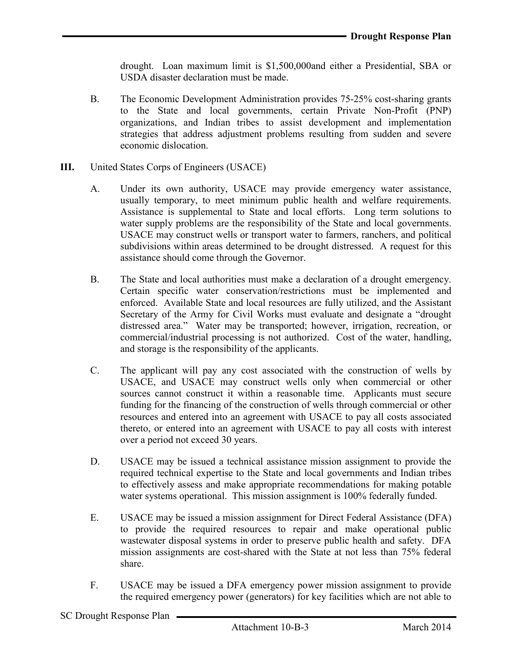drought. Loan maximum limit is \$1,500,000and either a Presidential, SBA or USDA disaster declaration must be made.

- B. The Economic Development Administration provides 75-25% cost-sharing grants to the State and local governments, certain Private Non-Profit (PNP) organizations, and Indian tribes to assist development and implementation strategies that address adjustment problems resulting from sudden and severe economic dislocation.
- III. United States Corps of Engineers (USACE)
	- A. Under its own authority, USACE may provide emergency water assistance, usually temporary, to meet minimum public health and welfare requirements. Assistance is supplemental to State and local efforts. Long term solutions to water supply problems are the responsibility of the State and local governments. USACE may construct wells or transport water to farmers, ranchers, and political subdivisions within areas determined to be drought distressed. A request for this assistance should come through the Governor.
	- B. The State and local authorities must make a declaration of a drought emergency. Certain specific water conservation/restrictions must be implemented and enforced. Available State and local resources are fully utilized, and the Assistant Secretary of the Army for Civil Works must evaluate and designate a "drought" distressed area." Water may be transported; however, irrigation, recreation, or commercial/industrial processing is not authorized. Cost of the water, handling, and storage is the responsibility of the applicants.
	- C. The applicant will pay any cost associated with the construction of wells by USACE, and USACE may construct wells only when commercial or other sources cannot construct it within a reasonable time. Applicants must secure funding for the financing of the construction of wells through commercial or other resources and entered into an agreement with USACE to pay all costs associated thereto, or entered into an agreement with USACE to pay all costs with interest over a period not exceed 30 years.
	- D. USACE may be issued a technical assistance mission assignment to provide the required technical expertise to the State and local governments and Indian tribes to effectively assess and make appropriate recommendations for making potable water systems operational. This mission assignment is 100% federally funded.
	- E. USACE may be issued a mission assignment for Direct Federal Assistance (DFA) to provide the required resources to repair and make operational public wastewater disposal systems in order to preserve public health and safety. DFA mission assignments are cost-shared with the State at not less than 75% federal share.
	- F. USACE may be issued a DFA emergency power mission assignment to provide the required emergency power (generators) for key facilities which are not able to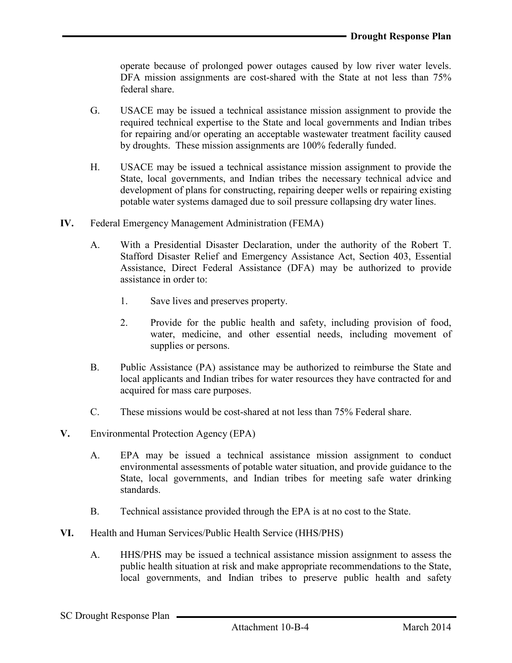operate because of prolonged power outages caused by low river water levels. DFA mission assignments are cost-shared with the State at not less than 75% federal share.

- G. USACE may be issued a technical assistance mission assignment to provide the required technical expertise to the State and local governments and Indian tribes for repairing and/or operating an acceptable wastewater treatment facility caused by droughts. These mission assignments are 100% federally funded.
- H. USACE may be issued a technical assistance mission assignment to provide the State, local governments, and Indian tribes the necessary technical advice and development of plans for constructing, repairing deeper wells or repairing existing potable water systems damaged due to soil pressure collapsing dry water lines.
- IV. Federal Emergency Management Administration (FEMA)
	- A. With a Presidential Disaster Declaration, under the authority of the Robert T. Stafford Disaster Relief and Emergency Assistance Act, Section 403, Essential Assistance, Direct Federal Assistance (DFA) may be authorized to provide assistance in order to:
		- 1. Save lives and preserves property.
		- 2. Provide for the public health and safety, including provision of food, water, medicine, and other essential needs, including movement of supplies or persons.
	- B. Public Assistance (PA) assistance may be authorized to reimburse the State and local applicants and Indian tribes for water resources they have contracted for and acquired for mass care purposes.
	- C. These missions would be cost-shared at not less than 75% Federal share.
- V. Environmental Protection Agency (EPA)
	- A. EPA may be issued a technical assistance mission assignment to conduct environmental assessments of potable water situation, and provide guidance to the State, local governments, and Indian tribes for meeting safe water drinking standards.
	- B. Technical assistance provided through the EPA is at no cost to the State.
- VI. Health and Human Services/Public Health Service (HHS/PHS)
	- A. HHS/PHS may be issued a technical assistance mission assignment to assess the public health situation at risk and make appropriate recommendations to the State, local governments, and Indian tribes to preserve public health and safety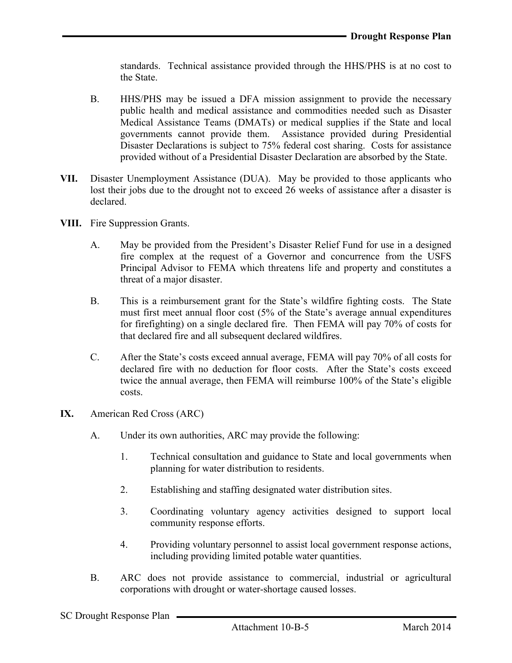standards. Technical assistance provided through the HHS/PHS is at no cost to the State.

- B. HHS/PHS may be issued a DFA mission assignment to provide the necessary public health and medical assistance and commodities needed such as Disaster Medical Assistance Teams (DMATs) or medical supplies if the State and local governments cannot provide them. Assistance provided during Presidential Disaster Declarations is subject to 75% federal cost sharing. Costs for assistance provided without of a Presidential Disaster Declaration are absorbed by the State.
- VII. Disaster Unemployment Assistance (DUA). May be provided to those applicants who lost their jobs due to the drought not to exceed 26 weeks of assistance after a disaster is declared.
- VIII. Fire Suppression Grants.
	- A. May be provided from the President's Disaster Relief Fund for use in a designed fire complex at the request of a Governor and concurrence from the USFS Principal Advisor to FEMA which threatens life and property and constitutes a threat of a major disaster.
	- B. This is a reimbursement grant for the State's wildfire fighting costs. The State must first meet annual floor cost (5% of the State's average annual expenditures for firefighting) on a single declared fire. Then FEMA will pay 70% of costs for that declared fire and all subsequent declared wildfires.
	- C. After the State's costs exceed annual average, FEMA will pay 70% of all costs for declared fire with no deduction for floor costs. After the State's costs exceed twice the annual average, then FEMA will reimburse 100% of the State's eligible costs.
- IX. American Red Cross (ARC)
	- A. Under its own authorities, ARC may provide the following:
		- 1. Technical consultation and guidance to State and local governments when planning for water distribution to residents.
		- 2. Establishing and staffing designated water distribution sites.
		- 3. Coordinating voluntary agency activities designed to support local community response efforts.
		- 4. Providing voluntary personnel to assist local government response actions, including providing limited potable water quantities.
	- B. ARC does not provide assistance to commercial, industrial or agricultural corporations with drought or water-shortage caused losses.